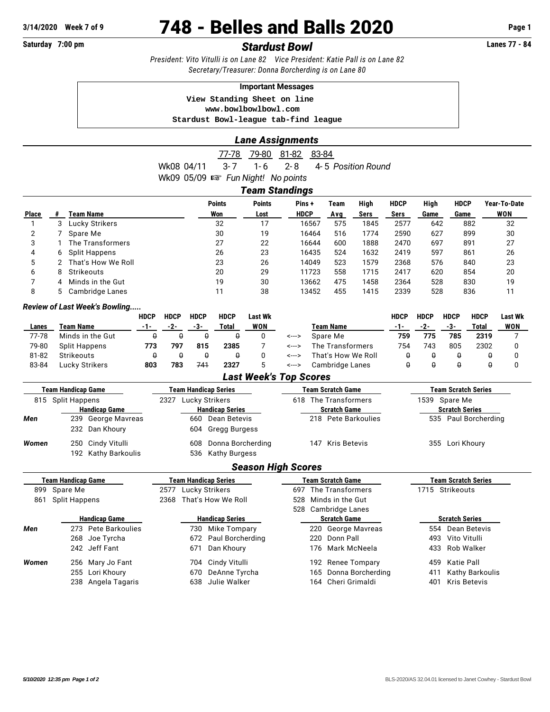# **3/14/2020 Week 7 of 9 748 - Belles and Balls 2020 Page 1**

# **Saturday 7:00 pm** *Stardust Bowl* **Lanes 77 - 84**

*President: Vito Vitulli is on Lane 82 Vice President: Katie Pall is on Lane 82 Secretary/Treasurer: Donna Borcherding is on Lane 80*

### **Important Messages**

 **View Standing Sheet on line <www.bowlbowlbowl.com> Stardust Bowl-league tab-find league**

# *Lane Assignments*

77-78 79-80 81-82 83-84 Wk08 04/11 3-7 1-6 2-8 4-5 Position Round Wk09 05/09  $\approx$  Fun Night! No points

# *Team Standings*

| <b>Place</b> |   | Team Name          | <b>Points</b><br>Won | <b>Points</b><br>Lost | Pins+<br><b>HDCP</b> | Team<br>Avg | High<br>Sers | <b>HDCP</b><br>Sers | High<br>Game | <b>HDCP</b><br>Game | Year-To-Date<br>WON |
|--------------|---|--------------------|----------------------|-----------------------|----------------------|-------------|--------------|---------------------|--------------|---------------------|---------------------|
|              |   | Lucky Strikers     | 32                   |                       | 16567                | 575         | 1845         | 2577                | 642          | 882                 | 32                  |
|              |   | Spare Me           | 30                   | 19                    | 16464                | 516         | 1774         | 2590                | 627          | 899                 | 30                  |
| 3            |   | The Transformers   | 27                   | 22                    | 16644                | 600         | 1888         | 2470                | 697          | 891                 | 27                  |
| 4            | 6 | Split Happens      | 26                   | 23                    | 16435                | 524         | 1632         | 2419                | 597          | 861                 | 26                  |
| 5            |   | That's How We Roll | 23                   | 26                    | 14049                | 523         | 1579         | 2368                | 576          | 840                 | 23                  |
| 6            |   | Strikeouts         | 20                   | 29                    | 11723                | 558         | 1715         | 2417                | 620          | 854                 | 20                  |
|              | 4 | Minds in the Gut   | 19                   | 30                    | 13662                | 475         | 1458         | 2364                | 528          | 830                 | 19                  |
|              |   | Cambridge Lanes    |                      | 38                    | 13452                | 455         | 1415         | 2339                | 528          | 836                 |                     |
|              |   |                    |                      |                       |                      |             |              |                     |              |                     |                     |

# *Review of Last Week's Bowling.....*

|       |                  | <b>HDCP</b> | <b>HDCP</b> | <b>HDCP</b> | <b>HDCP</b> | Last Wk    |       |                    | HDCP | <b>HDCP</b> | <b>HDCP</b> | <b>HDCP</b> | Last Wk |
|-------|------------------|-------------|-------------|-------------|-------------|------------|-------|--------------------|------|-------------|-------------|-------------|---------|
| Lanes | Team Name        | -1-         | $-2-$       | -3-         | Total       | <b>WON</b> |       | Team Name          | -1-  | -2-         | -3-         | Total       | WON     |
| 77-78 | Minds in the Gut |             |             |             |             |            | <---> | Spare Me           | 759  | 775         | 785         | 2319        |         |
| 79-80 | Split Happens    | 773         | 797         | 815         | 2385        |            | <---> | The Transformers   | 754  | 743         | 805         | 2302        |         |
| 81-82 | Strikeouts       |             |             |             |             |            | <---> | That's How We Roll |      |             |             |             |         |
| 83-84 | Lucky Strikers   | 803         | 783         | 741         | 2327        |            | <---> | Cambridge Lanes    |      |             |             |             |         |

#### *Last Week's Top Scores*

| <b>Team Handicap Game</b> |                                          |                    | <b>Team Handicap Series</b> |                                        |  |                      | <b>Team Scratch Game</b> | <b>Team Scratch Series</b> |                      |  |  |  |
|---------------------------|------------------------------------------|--------------------|-----------------------------|----------------------------------------|--|----------------------|--------------------------|----------------------------|----------------------|--|--|--|
| 815 Split Happens         |                                          |                    | Lucky Strikers<br>2327      |                                        |  | 618 The Transformers |                          |                            | 1539 Spare Me        |  |  |  |
|                           | <b>Handicap Game</b>                     |                    | <b>Handicap Series</b>      |                                        |  |                      | <b>Scratch Game</b>      | <b>Scratch Series</b>      |                      |  |  |  |
| Men                       | 232 Dan Khoury                           | 239 George Mavreas |                             | 660 Dean Betevis<br>604 Gregg Burgess  |  |                      | 218 Pete Barkoulies      |                            | 535 Paul Borcherding |  |  |  |
| Women                     | 250 Cindy Vitulli<br>192 Kathy Barkoulis |                    | 608                         | Donna Borcherding<br>536 Kathy Burgess |  |                      | 147 Kris Betevis         |                            | 355 Lori Khoury      |  |  |  |

# *Season High Scores*

|                   | <b>Team Handicap Game</b> | <b>Team Handicap Series</b> | <b>Team Scratch Game</b> | <b>Team Scratch Series</b> |
|-------------------|---------------------------|-----------------------------|--------------------------|----------------------------|
|                   | 899 Spare Me              | 2577 Lucky Strikers         | 697 The Transformers     | 1715 Strikeouts            |
| 861 Split Happens |                           | 2368 That's How We Roll     | 528 Minds in the Gut     |                            |
|                   |                           |                             | 528 Cambridge Lanes      |                            |
|                   | <b>Handicap Game</b>      | <b>Handicap Series</b>      | <b>Scratch Game</b>      | <b>Scratch Series</b>      |
| Men               | 273 Pete Barkoulies       | 730 Mike Tompary            | 220 George Mavreas       | 554 Dean Betevis           |
|                   | 268 Joe Tyrcha            | 672 Paul Borcherding        | 220 Donn Pall            | 493 Vito Vitulli           |
|                   | 242 Jeff Fant             | 671 Dan Khoury              | 176 Mark McNeela         | 433 Rob Walker             |
| Women             | 256 Mary Jo Fant          | 704 Cindy Vitulli           | 192 Renee Tompary        | Katie Pall<br>459          |
|                   | 255 Lori Khoury           | 670 DeAnne Tyrcha           | 165 Donna Borcherding    | Kathy Barkoulis<br>411     |
|                   | 238 Angela Tagaris        | 638 Julie Walker            | 164 Cheri Grimaldi       | Kris Betevis<br>401        |